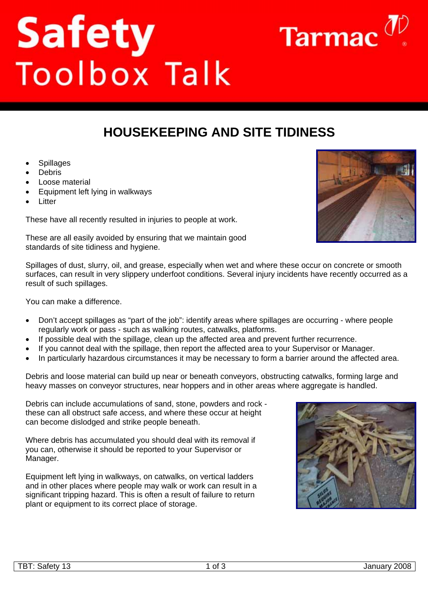TBT: Safety 13 January 2008

## **HOUSEKEEPING AND SITE TIDINESS**

- **Spillages**
- Debris
- Loose material
- Equipment left lying in walkways
- **Litter**

These have all recently resulted in injuries to people at work.

**Safety**<br>Toolbox Talk

These are all easily avoided by ensuring that we maintain good

standards of site tidiness and hygiene. Spillages of dust, slurry, oil, and grease, especially when wet and where these occur on concrete or smooth

surfaces, can result in very slippery underfoot conditions. Several injury incidents have recently occurred as a result of such spillages.

You can make a difference.

- Don't accept spillages as "part of the job": identify areas where spillages are occurring where people regularly work or pass - such as walking routes, catwalks, platforms.
- If possible deal with the spillage, clean up the affected area and prevent further recurrence.
- If you cannot deal with the spillage, then report the affected area to your Supervisor or Manager.
- In particularly hazardous circumstances it may be necessary to form a barrier around the affected area.

Debris and loose material can build up near or beneath conveyors, obstructing catwalks, forming large and heavy masses on conveyor structures, near hoppers and in other areas where aggregate is handled.

Debris can include accumulations of sand, stone, powders and rock these can all obstruct safe access, and where these occur at height can become dislodged and strike people beneath.

Where debris has accumulated you should deal with its removal if you can, otherwise it should be reported to your Supervisor or Manager.

Equipment left lying in walkways, on catwalks, on vertical ladders and in other places where people may walk or work can result in a significant tripping hazard. This is often a result of failure to return plant or equipment to its correct place of storage.





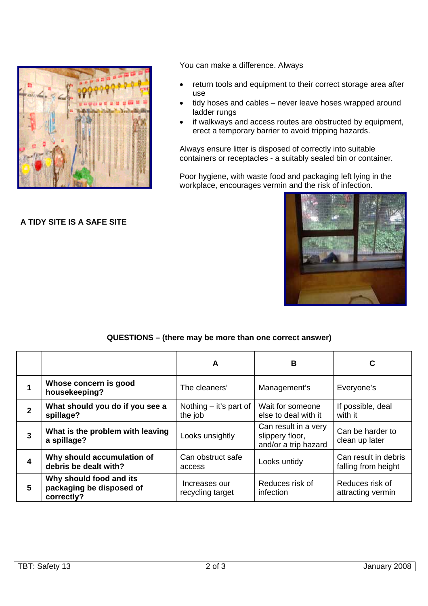

**A TIDY SITE IS A SAFE SITE** 

## You can make a difference. Always

- return tools and equipment to their correct storage area after use
- tidy hoses and cables never leave hoses wrapped around ladder rungs
- if walkways and access routes are obstructed by equipment, erect a temporary barrier to avoid tripping hazards.

Always ensure litter is disposed of correctly into suitable containers or receptacles - a suitably sealed bin or container.

Poor hygiene, with waste food and packaging left lying in the workplace, encourages vermin and the risk of infection.



## **QUESTIONS – (there may be more than one correct answer)**

|              |                                                                   | A                                   | B                                                               | C                                           |
|--------------|-------------------------------------------------------------------|-------------------------------------|-----------------------------------------------------------------|---------------------------------------------|
|              | Whose concern is good<br>housekeeping?                            | The cleaners'                       | Management's                                                    | Everyone's                                  |
| $\mathbf{2}$ | What should you do if you see a<br>spillage?                      | Nothing $-$ it's part of<br>the job | Wait for someone<br>else to deal with it                        | If possible, deal<br>with it                |
| 3            | What is the problem with leaving<br>a spillage?                   | Looks unsightly                     | Can result in a very<br>slippery floor,<br>and/or a trip hazard | Can be harder to<br>clean up later          |
| 4            | Why should accumulation of<br>debris be dealt with?               | Can obstruct safe<br>access         | Looks untidy                                                    | Can result in debris<br>falling from height |
| 5            | Why should food and its<br>packaging be disposed of<br>correctly? | Increases our<br>recycling target   | Reduces risk of<br>infection                                    | Reduces risk of<br>attracting vermin        |